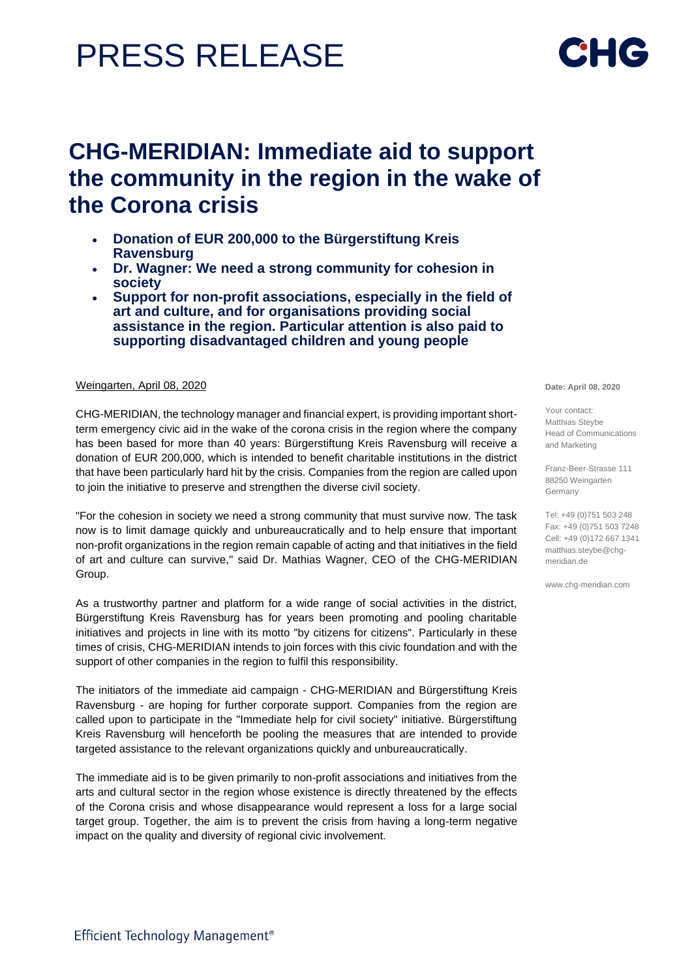# PRESS RELEASE

## **CHG-MERIDIAN: Immediate aid to support the community in the region in the wake of the Corona crisis**

- **Donation of EUR 200,000 to the Bürgerstiftung Kreis Ravensburg**
- **Dr. Wagner: We need a strong community for cohesion in society**
- **Support for non-profit associations, especially in the field of art and culture, and for organisations providing social assistance in the region. Particular attention is also paid to supporting disadvantaged children and young people**

### Weingarten, April 08, 2020

CHG-MERIDIAN, the technology manager and financial expert, is providing important shortterm emergency civic aid in the wake of the corona crisis in the region where the company has been based for more than 40 years: Bürgerstiftung Kreis Ravensburg will receive a donation of EUR 200,000, which is intended to benefit charitable institutions in the district that have been particularly hard hit by the crisis. Companies from the region are called upon to join the initiative to preserve and strengthen the diverse civil society.

"For the cohesion in society we need a strong community that must survive now. The task now is to limit damage quickly and unbureaucratically and to help ensure that important non-profit organizations in the region remain capable of acting and that initiatives in the field of art and culture can survive," said Dr. Mathias Wagner, CEO of the CHG-MERIDIAN Group.

As a trustworthy partner and platform for a wide range of social activities in the district, Bürgerstiftung Kreis Ravensburg has for years been promoting and pooling charitable initiatives and projects in line with its motto "by citizens for citizens". Particularly in these times of crisis, CHG-MERIDIAN intends to join forces with this civic foundation and with the support of other companies in the region to fulfil this responsibility.

The initiators of the immediate aid campaign - CHG-MERIDIAN and Bürgerstiftung Kreis Ravensburg - are hoping for further corporate support. Companies from the region are called upon to participate in the "Immediate help for civil society" initiative. Bürgerstiftung Kreis Ravensburg will henceforth be pooling the measures that are intended to provide targeted assistance to the relevant organizations quickly and unbureaucratically.

The immediate aid is to be given primarily to non-profit associations and initiatives from the arts and cultural sector in the region whose existence is directly threatened by the effects of the Corona crisis and whose disappearance would represent a loss for a large social target group. Together, the aim is to prevent the crisis from having a long-term negative impact on the quality and diversity of regional civic involvement.

**Date: April 08, 2020**

Your contact: Matthias Steybe Head of Communications and Marketing

Franz-Beer-Strasse 111 88250 Weingarten Germany

Tel: +49 (0)751 503 248 Fax: +49 (0)751 503 7248 Cell: +49 (0)172 667 1341 [matthias.steybe@chg](mailto:matthias.steybe@chg-)meridian.de

www.chg-meridian.com